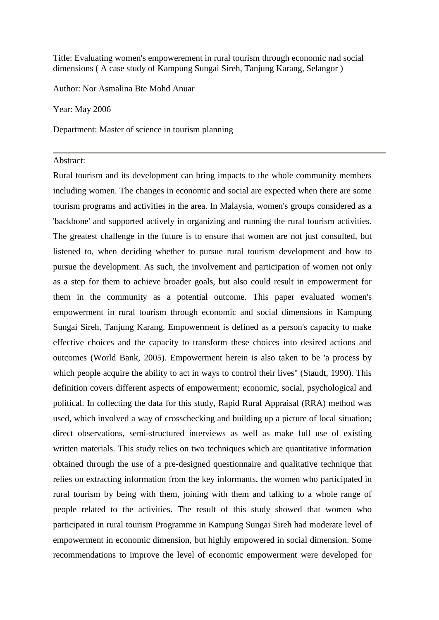Title: Evaluating women's empowerement in rural tourism through economic nad social dimensions ( A case study of Kampung Sungai Sireh, Tanjung Karang, Selangor )

Author: Nor Asmalina Bte Mohd Anuar

Year: May 2006

Department: Master of science in tourism planning

## Abstract:

Rural tourism and its development can bring impacts to the whole community members including women. The changes in economic and social are expected when there are some tourism programs and activities in the area. In Malaysia, women's groups considered as a 'backbone' and supported actively in organizing and running the rural tourism activities. The greatest challenge in the future is to ensure that women are not just consulted, but listened to, when deciding whether to pursue rural tourism development and how to pursue the development. As such, the involvement and participation of women not only as a step for them to achieve broader goals, but also could result in empowerment for them in the community as a potential outcome. This paper evaluated women's empowerment in rural tourism through economic and social dimensions in Kampung Sungai Sireh, Tanjung Karang. Empowerment is defined as a person's capacity to make effective choices and the capacity to transform these choices into desired actions and outcomes (World Bank, 2005). Empowerment herein is also taken to be 'a process by which people acquire the ability to act in ways to control their lives" (Staudt, 1990). This definition covers different aspects of empowerment; economic, social, psychological and political. In collecting the data for this study, Rapid Rural Appraisal (RRA) method was used, which involved a way of crosschecking and building up a picture of local situation; direct observations, semi-structured interviews as well as make full use of existing written materials. This study relies on two techniques which are quantitative information obtained through the use of a pre-designed questionnaire and qualitative technique that relies on extracting information from the key informants, the women who participated in rural tourism by being with them, joining with them and talking to a whole range of people related to the activities. The result of this study showed that women who participated in rural tourism Programme in Kampung Sungai Sireh had moderate level of empowerment in economic dimension, but highly empowered in social dimension. Some recommendations to improve the level of economic empowerment were developed for